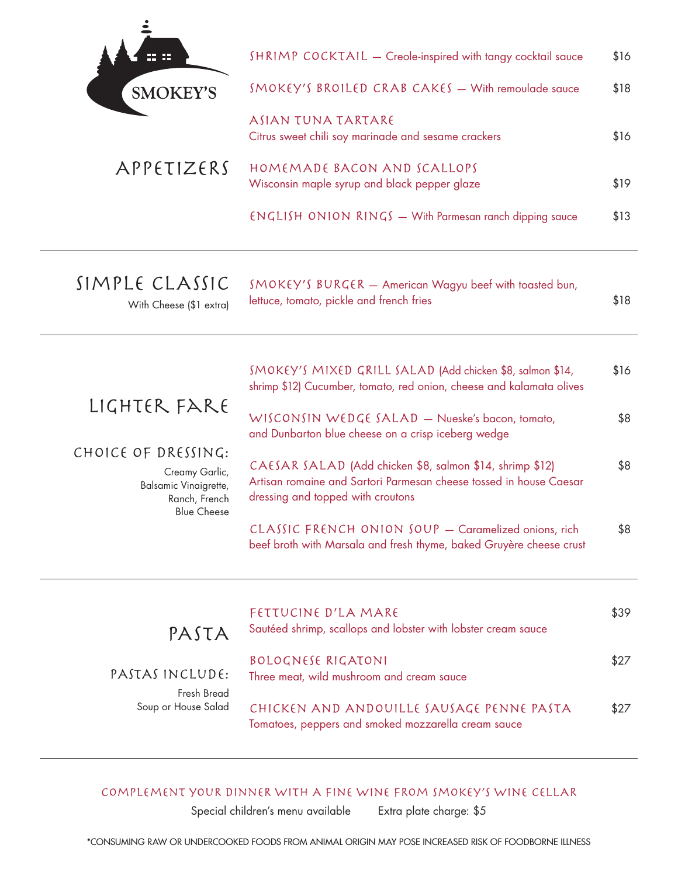| 88<br>┱         | SHRIMP COCKTAIL - Creole-inspired with tangy cocktail sauce                 | \$16 |
|-----------------|-----------------------------------------------------------------------------|------|
| <b>SMOKEY'S</b> | $SMOKEY'S BROILED CRAB CAKES - With removable source$                       | \$18 |
|                 | ASIAN TUNA TARTARE<br>Citrus sweet chili soy marinade and sesame crackers   | \$16 |
| APPETIZERS      | HOMEMADE BACON AND SCALLOPS<br>Wisconsin maple syrup and black pepper glaze | \$19 |
|                 | $ENGLISH$ ONION $RINGS$ – With Parmesan ranch dipping sauce                 | \$13 |
|                 |                                                                             |      |

## SIMPLE CLASSIC

With Cheese (\$1 extra)

SMOKEY'S BURGER - American Wagyu beef with toasted bun, lettuce, tomato, pickle and french fries  $$18$ 

|                                                                                                       | SMOKEY'S MIXED GRILL SALAD (Add chicken \$8, salmon \$14,<br>shrimp \$12) Cucumber, tomato, red onion, cheese and kalamata olives                                   | \$16 |
|-------------------------------------------------------------------------------------------------------|---------------------------------------------------------------------------------------------------------------------------------------------------------------------|------|
| LIGHTER FARE                                                                                          | WISCONSIN WEDGE SALAD - Nueske's bacon, tomato,<br>and Dunbarton blue cheese on a crisp iceberg wedge                                                               | \$8  |
| CHOICE OF DRESSING:<br>Creamy Garlic,<br>Balsamic Vinaigrette,<br>Ranch, French<br><b>Blue Cheese</b> | CAESAR SALAD (Add chicken \$8, salmon \$14, shrimp \$12)<br>Artisan romaine and Sartori Parmesan cheese tossed in house Caesar<br>dressing and topped with croutons | \$8  |

CLASSIC FRENCH ONION SOUP - Caramelized onions, rich \$8 beef broth with Marsala and fresh thyme, baked Gruyère cheese crust

| PASTA                              | FETTUCINE D'LA MARE<br>Sautéed shrimp, scallops and lobster with lobster cream sauce             | \$39 |
|------------------------------------|--------------------------------------------------------------------------------------------------|------|
| PASTAS INCLUDE:                    | <b>BOLOGNESE RIGATONI</b><br>Three meat, wild mushroom and cream sauce                           | \$27 |
| Fresh Bread<br>Soup or House Salad | CHICKEN AND ANDOUILLE SAUSAGE PENNE PASTA<br>Tomatoes, peppers and smoked mozzarella cream sauce | \$27 |

## COMPLEMENT YOUR DINNER WITH A FINE WINE FROM SMOKEY'S WINE CELLAR

Special children's menu available

Extra plate charge: \$5

\*CONSUMING RAW OR UNDERCOOKED FOODS FROM ANIMAL ORIGIN MAY POSE INCREASED RISK OF FOODBORNE ILLNESS